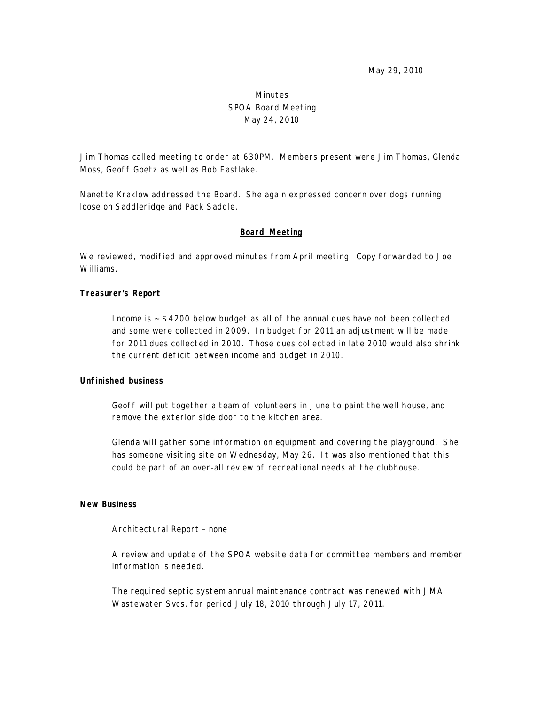May 29, 2010

# Minutes SPOA Board Meeting May 24, 2010

Jim Thomas called meeting to order at 630PM. Members present were Jim Thomas, Glenda Moss, Geoff Goetz as well as Bob Eastlake.

Nanette Kraklow addressed the Board. She again expressed concern over dogs running loose on Saddleridge and Pack Saddle.

#### **Board Meeting**

We reviewed, modified and approved minutes from April meeting. Copy forwarded to Joe Williams.

#### **Treasurer's Report**

Income is ~ \$4200 below budget as all of the annual dues have not been collected and some were collected in 2009. In budget for 2011 an adjustment will be made for 2011 dues collected in 2010. Those dues collected in late 2010 would also shrink the current deficit between income and budget in 2010.

#### **Unfinished business**

Geoff will put together a team of volunteers in June to paint the well house, and remove the exterior side door to the kitchen area.

Glenda will gather some information on equipment and covering the playground. She has someone visiting site on Wednesday, May 26. It was also mentioned that this could be part of an over-all review of recreational needs at the clubhouse.

## **New Business**

Architectural Report – none

A review and update of the SPOA website data for committee members and member information is needed.

The required septic system annual maintenance contract was renewed with JMA Wastewater Svcs. for period July 18, 2010 through July 17, 2011.